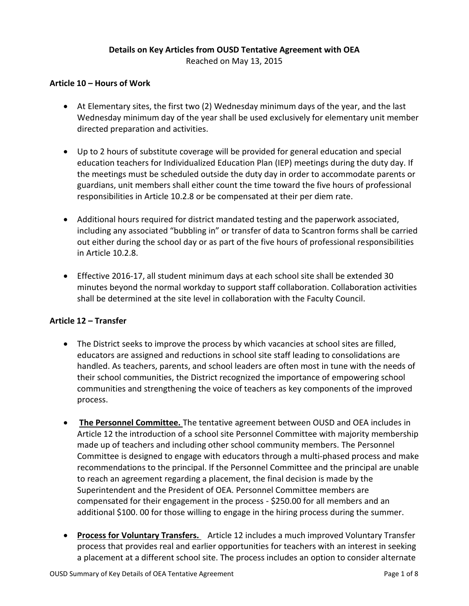#### **Details on Key Articles from OUSD Tentative Agreement with OEA**

Reached on May 13, 2015

#### **Article 10 – Hours of Work**

- At Elementary sites, the first two (2) Wednesday minimum days of the year, and the last Wednesday minimum day of the year shall be used exclusively for elementary unit member directed preparation and activities.
- Up to 2 hours of substitute coverage will be provided for general education and special education teachers for Individualized Education Plan (IEP) meetings during the duty day. If the meetings must be scheduled outside the duty day in order to accommodate parents or guardians, unit members shall either count the time toward the five hours of professional responsibilities in Article 10.2.8 or be compensated at their per diem rate.
- Additional hours required for district mandated testing and the paperwork associated, including any associated "bubbling in" or transfer of data to Scantron forms shall be carried out either during the school day or as part of the five hours of professional responsibilities in Article 10.2.8.
- Effective 2016-17, all student minimum days at each school site shall be extended 30 minutes beyond the normal workday to support staff collaboration. Collaboration activities shall be determined at the site level in collaboration with the Faculty Council.

#### **Article 12 – Transfer**

- The District seeks to improve the process by which vacancies at school sites are filled, educators are assigned and reductions in school site staff leading to consolidations are handled. As teachers, parents, and school leaders are often most in tune with the needs of their school communities, the District recognized the importance of empowering school communities and strengthening the voice of teachers as key components of the improved process.
- **The Personnel Committee.** The tentative agreement between OUSD and OEA includes in Article 12 the introduction of a school site Personnel Committee with majority membership made up of teachers and including other school community members. The Personnel Committee is designed to engage with educators through a multi-phased process and make recommendations to the principal. If the Personnel Committee and the principal are unable to reach an agreement regarding a placement, the final decision is made by the Superintendent and the President of OEA. Personnel Committee members are compensated for their engagement in the process - \$250.00 for all members and an additional \$100. 00 for those willing to engage in the hiring process during the summer.
- **Process for Voluntary Transfers.** Article 12 includes a much improved Voluntary Transfer process that provides real and earlier opportunities for teachers with an interest in seeking a placement at a different school site. The process includes an option to consider alternate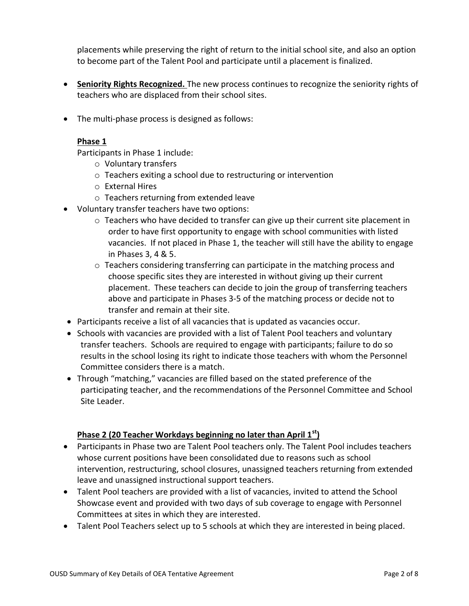placements while preserving the right of return to the initial school site, and also an option to become part of the Talent Pool and participate until a placement is finalized.

- **Seniority Rights Recognized.** The new process continues to recognize the seniority rights of teachers who are displaced from their school sites.
- The multi-phase process is designed as follows:

#### **Phase 1**

Participants in Phase 1 include:

- o Voluntary transfers
- o Teachers exiting a school due to restructuring or intervention
- o External Hires
- o Teachers returning from extended leave
- Voluntary transfer teachers have two options:
	- $\circ$  Teachers who have decided to transfer can give up their current site placement in order to have first opportunity to engage with school communities with listed vacancies. If not placed in Phase 1, the teacher will still have the ability to engage in Phases 3, 4 & 5.
	- o Teachers considering transferring can participate in the matching process and choose specific sites they are interested in without giving up their current placement. These teachers can decide to join the group of transferring teachers above and participate in Phases 3-5 of the matching process or decide not to transfer and remain at their site.
- Participants receive a list of all vacancies that is updated as vacancies occur.
- Schools with vacancies are provided with a list of Talent Pool teachers and voluntary transfer teachers. Schools are required to engage with participants; failure to do so results in the school losing its right to indicate those teachers with whom the Personnel Committee considers there is a match.
- Through "matching," vacancies are filled based on the stated preference of the participating teacher, and the recommendations of the Personnel Committee and School Site Leader.

#### **Phase 2 (20 Teacher Workdays beginning no later than April 1st)**

- Participants in Phase two are Talent Pool teachers only. The Talent Pool includes teachers whose current positions have been consolidated due to reasons such as school intervention, restructuring, school closures, unassigned teachers returning from extended leave and unassigned instructional support teachers.
- Talent Pool teachers are provided with a list of vacancies, invited to attend the School Showcase event and provided with two days of sub coverage to engage with Personnel Committees at sites in which they are interested.
- Talent Pool Teachers select up to 5 schools at which they are interested in being placed.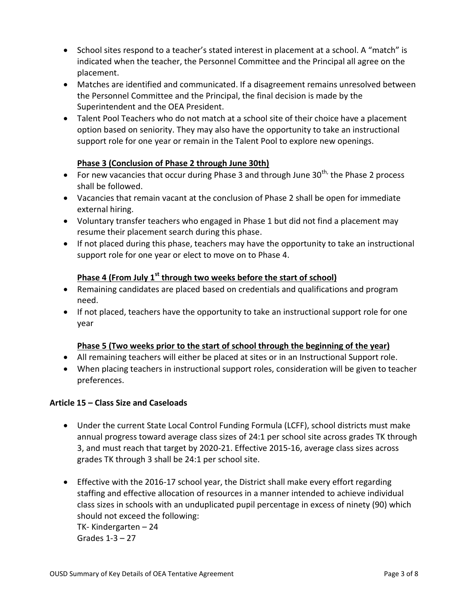- School sites respond to a teacher's stated interest in placement at a school. A "match" is indicated when the teacher, the Personnel Committee and the Principal all agree on the placement.
- Matches are identified and communicated. If a disagreement remains unresolved between the Personnel Committee and the Principal, the final decision is made by the Superintendent and the OEA President.
- Talent Pool Teachers who do not match at a school site of their choice have a placement option based on seniority. They may also have the opportunity to take an instructional support role for one year or remain in the Talent Pool to explore new openings.

# **Phase 3 (Conclusion of Phase 2 through June 30th)**

- For new vacancies that occur during Phase 3 and through June 30<sup>th,</sup> the Phase 2 process shall be followed.
- Vacancies that remain vacant at the conclusion of Phase 2 shall be open for immediate external hiring.
- Voluntary transfer teachers who engaged in Phase 1 but did not find a placement may resume their placement search during this phase.
- If not placed during this phase, teachers may have the opportunity to take an instructional support role for one year or elect to move on to Phase 4.

# **Phase 4 (From July 1st through two weeks before the start of school)**

- Remaining candidates are placed based on credentials and qualifications and program need.
- If not placed, teachers have the opportunity to take an instructional support role for one year

### **Phase 5 (Two weeks prior to the start of school through the beginning of the year)**

- All remaining teachers will either be placed at sites or in an Instructional Support role.
- When placing teachers in instructional support roles, consideration will be given to teacher preferences.

### **Article 15 – Class Size and Caseloads**

- Under the current State Local Control Funding Formula (LCFF), school districts must make annual progress toward average class sizes of 24:1 per school site across grades TK through 3, and must reach that target by 2020-21. Effective 2015-16, average class sizes across grades TK through 3 shall be 24:1 per school site.
- Effective with the 2016-17 school year, the District shall make every effort regarding staffing and effective allocation of resources in a manner intended to achieve individual class sizes in schools with an unduplicated pupil percentage in excess of ninety (90) which should not exceed the following: TK- Kindergarten – 24 Grades 1-3 – 27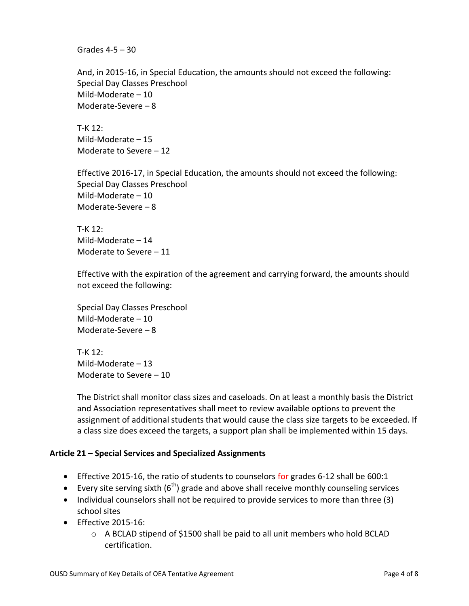Grades 4-5 – 30

And, in 2015-16, in Special Education, the amounts should not exceed the following: Special Day Classes Preschool Mild-Moderate – 10 Moderate-Severe – 8

T-K 12: Mild-Moderate – 15 Moderate to Severe – 12

Effective 2016-17, in Special Education, the amounts should not exceed the following: Special Day Classes Preschool Mild-Moderate – 10 Moderate-Severe – 8

T-K 12: Mild-Moderate – 14 Moderate to Severe – 11

Effective with the expiration of the agreement and carrying forward, the amounts should not exceed the following:

Special Day Classes Preschool Mild-Moderate – 10 Moderate-Severe – 8

T-K 12: Mild-Moderate – 13 Moderate to Severe – 10

The District shall monitor class sizes and caseloads. On at least a monthly basis the District and Association representatives shall meet to review available options to prevent the assignment of additional students that would cause the class size targets to be exceeded. If a class size does exceed the targets, a support plan shall be implemented within 15 days.

#### **Article 21 – Special Services and Specialized Assignments**

- Effective 2015-16, the ratio of students to counselors for grades 6-12 shall be 600:1
- Every site serving sixth  $(6<sup>th</sup>)$  grade and above shall receive monthly counseling services
- Individual counselors shall not be required to provide services to more than three (3) school sites
- Effective 2015-16:
	- $\circ$  A BCLAD stipend of \$1500 shall be paid to all unit members who hold BCLAD certification.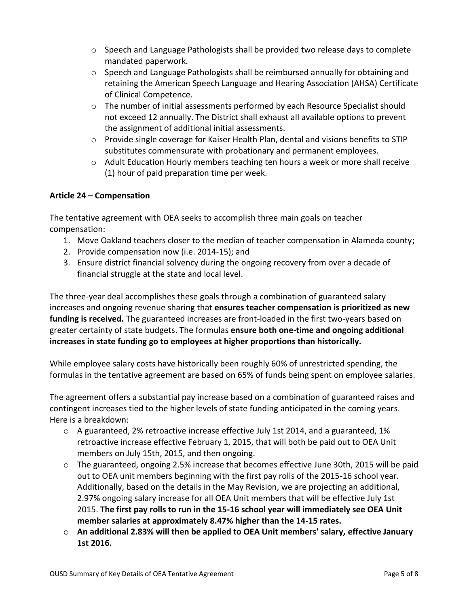- o Speech and Language Pathologists shall be provided two release days to complete mandated paperwork.
- $\circ$  Speech and Language Pathologists shall be reimbursed annually for obtaining and retaining the American Speech Language and Hearing Association (AHSA) Certificate of Clinical Competence.
- o The number of initial assessments performed by each Resource Specialist should not exceed 12 annually. The District shall exhaust all available options to prevent the assignment of additional initial assessments.
- $\circ$  Provide single coverage for Kaiser Health Plan, dental and visions benefits to STIP substitutes commensurate with probationary and permanent employees.
- o Adult Education Hourly members teaching ten hours a week or more shall receive (1) hour of paid preparation time per week.

### **Article 24 – Compensation**

The tentative agreement with OEA seeks to accomplish three main goals on teacher compensation:

- 1. Move Oakland teachers closer to the median of teacher compensation in Alameda county;
- 2. Provide compensation now (i.e. 2014-15); and
- 3. Ensure district financial solvency during the ongoing recovery from over a decade of financial struggle at the state and local level.

The three-year deal accomplishes these goals through a combination of guaranteed salary increases and ongoing revenue sharing that **ensures teacher compensation is prioritized as new funding is received.** The guaranteed increases are front-loaded in the first two-years based on greater certainty of state budgets. The formulas **ensure both one-time and ongoing additional increases in state funding go to employees at higher proportions than historically.**

While employee salary costs have historically been roughly 60% of unrestricted spending, the formulas in the tentative agreement are based on 65% of funds being spent on employee salaries.

The agreement offers a substantial pay increase based on a combination of guaranteed raises and contingent increases tied to the higher levels of state funding anticipated in the coming years. Here is a breakdown:

- o A guaranteed, 2% retroactive increase effective July 1st 2014, and a guaranteed, 1% retroactive increase effective February 1, 2015, that will both be paid out to OEA Unit members on July 15th, 2015, and then ongoing.
- $\circ$  The guaranteed, ongoing 2.5% increase that becomes effective June 30th, 2015 will be paid out to OEA unit members beginning with the first pay rolls of the 2015-16 school year. Additionally, based on the details in the May Revision, we are projecting an additional, 2.97% ongoing salary increase for all OEA Unit members that will be effective July 1st 2015. **The first pay rolls to run in the 15-16 school year will immediately see OEA Unit member salaries at approximately 8.47% higher than the 14-15 rates.**
- o **An additional 2.83% will then be applied to OEA Unit members' salary, effective January 1st 2016.**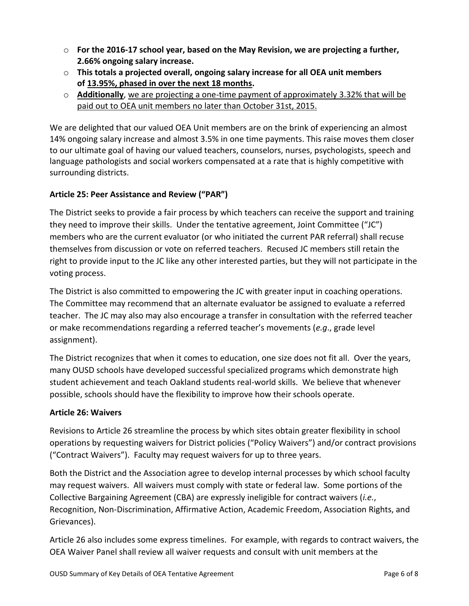- o **For the 2016-17 school year, based on the May Revision, we are projecting a further, 2.66% ongoing salary increase.**
- o **This totals a projected overall, ongoing salary increase for all OEA unit members of 13.95%, phased in over the next 18 months.**
- o **Additionally**, we are projecting a one-time payment of approximately 3.32% that will be paid out to OEA unit members no later than October 31st, 2015.

We are delighted that our valued OEA Unit members are on the brink of experiencing an almost 14% ongoing salary increase and almost 3.5% in one time payments. This raise moves them closer to our ultimate goal of having our valued teachers, counselors, nurses, psychologists, speech and language pathologists and social workers compensated at a rate that is highly competitive with surrounding districts.

# **Article 25: Peer Assistance and Review ("PAR")**

The District seeks to provide a fair process by which teachers can receive the support and training they need to improve their skills. Under the tentative agreement, Joint Committee ("JC") members who are the current evaluator (or who initiated the current PAR referral) shall recuse themselves from discussion or vote on referred teachers. Recused JC members still retain the right to provide input to the JC like any other interested parties, but they will not participate in the voting process.

The District is also committed to empowering the JC with greater input in coaching operations. The Committee may recommend that an alternate evaluator be assigned to evaluate a referred teacher. The JC may also may also encourage a transfer in consultation with the referred teacher or make recommendations regarding a referred teacher's movements (*e.g*., grade level assignment).

The District recognizes that when it comes to education, one size does not fit all. Over the years, many OUSD schools have developed successful specialized programs which demonstrate high student achievement and teach Oakland students real-world skills. We believe that whenever possible, schools should have the flexibility to improve how their schools operate.

### **Article 26: Waivers**

Revisions to Article 26 streamline the process by which sites obtain greater flexibility in school operations by requesting waivers for District policies ("Policy Waivers") and/or contract provisions ("Contract Waivers"). Faculty may request waivers for up to three years.

Both the District and the Association agree to develop internal processes by which school faculty may request waivers. All waivers must comply with state or federal law. Some portions of the Collective Bargaining Agreement (CBA) are expressly ineligible for contract waivers (*i.e.*, Recognition, Non-Discrimination, Affirmative Action, Academic Freedom, Association Rights, and Grievances).

Article 26 also includes some express timelines. For example, with regards to contract waivers, the OEA Waiver Panel shall review all waiver requests and consult with unit members at the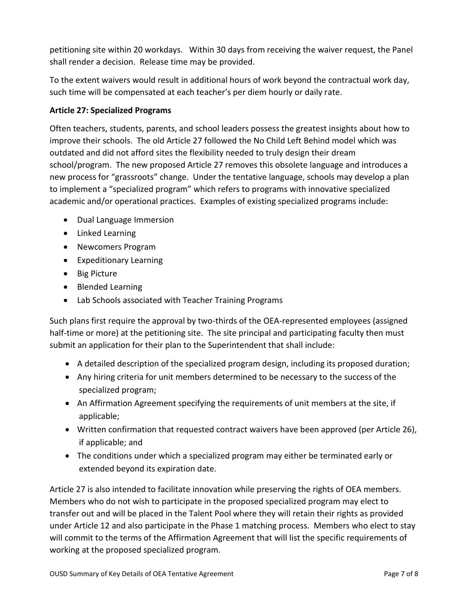petitioning site within 20 workdays. Within 30 days from receiving the waiver request, the Panel shall render a decision. Release time may be provided.

To the extent waivers would result in additional hours of work beyond the contractual work day, such time will be compensated at each teacher's per diem hourly or daily rate.

### **Article 27: Specialized Programs**

Often teachers, students, parents, and school leaders possess the greatest insights about how to improve their schools. The old Article 27 followed the No Child Left Behind model which was outdated and did not afford sites the flexibility needed to truly design their dream school/program. The new proposed Article 27 removes this obsolete language and introduces a new process for "grassroots" change. Under the tentative language, schools may develop a plan to implement a "specialized program" which refers to programs with innovative specialized academic and/or operational practices. Examples of existing specialized programs include:

- Dual Language Immersion
- Linked Learning
- Newcomers Program
- **•** Expeditionary Learning
- Big Picture
- Blended Learning
- Lab Schools associated with Teacher Training Programs

Such plans first require the approval by two-thirds of the OEA-represented employees (assigned half-time or more) at the petitioning site. The site principal and participating faculty then must submit an application for their plan to the Superintendent that shall include:

- A detailed description of the specialized program design, including its proposed duration;
- Any hiring criteria for unit members determined to be necessary to the success of the specialized program;
- An Affirmation Agreement specifying the requirements of unit members at the site, if applicable;
- Written confirmation that requested contract waivers have been approved (per Article 26), if applicable; and
- The conditions under which a specialized program may either be terminated early or extended beyond its expiration date.

Article 27 is also intended to facilitate innovation while preserving the rights of OEA members. Members who do not wish to participate in the proposed specialized program may elect to transfer out and will be placed in the Talent Pool where they will retain their rights as provided under Article 12 and also participate in the Phase 1 matching process. Members who elect to stay will commit to the terms of the Affirmation Agreement that will list the specific requirements of working at the proposed specialized program.